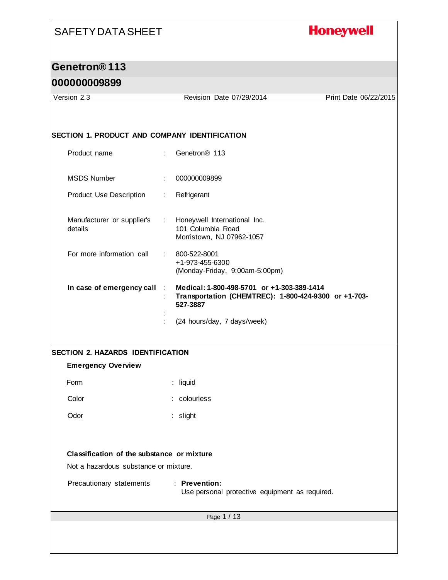## **Honeywell**

# **Genetron® 113**

#### **000000009899**

| Version 2.3                                          |                             | Revision Date 07/29/2014                                                                                       | Print Date 06/22/2015 |
|------------------------------------------------------|-----------------------------|----------------------------------------------------------------------------------------------------------------|-----------------------|
|                                                      |                             |                                                                                                                |                       |
|                                                      |                             |                                                                                                                |                       |
| <b>SECTION 1. PRODUCT AND COMPANY IDENTIFICATION</b> |                             |                                                                                                                |                       |
| Product name                                         | ÷                           | Genetron <sup>®</sup> 113                                                                                      |                       |
|                                                      |                             |                                                                                                                |                       |
| <b>MSDS Number</b>                                   |                             | 000000009899                                                                                                   |                       |
| <b>Product Use Description</b>                       | ÷                           | Refrigerant                                                                                                    |                       |
| Manufacturer or supplier's<br>details                | $\mathcal{L}^{\mathcal{L}}$ | Honeywell International Inc.<br>101 Columbia Road                                                              |                       |
|                                                      |                             | Morristown, NJ 07962-1057                                                                                      |                       |
| For more information call                            | t.                          | 800-522-8001                                                                                                   |                       |
|                                                      |                             | +1-973-455-6300<br>(Monday-Friday, 9:00am-5:00pm)                                                              |                       |
| In case of emergency call                            | ÷                           | Medical: 1-800-498-5701 or +1-303-389-1414<br>Transportation (CHEMTREC): 1-800-424-9300 or +1-703-<br>527-3887 |                       |
|                                                      |                             | (24 hours/day, 7 days/week)                                                                                    |                       |
|                                                      |                             |                                                                                                                |                       |
| SECTION 2. HAZARDS IDENTIFICATION                    |                             |                                                                                                                |                       |
| <b>Emergency Overview</b>                            |                             |                                                                                                                |                       |
| Form                                                 |                             | : liquid                                                                                                       |                       |
| Color                                                |                             | : colourless                                                                                                   |                       |
| Odor                                                 |                             | : slight                                                                                                       |                       |
|                                                      |                             |                                                                                                                |                       |
|                                                      |                             |                                                                                                                |                       |
| Classification of the substance or mixture           |                             |                                                                                                                |                       |
| Not a hazardous substance or mixture.                |                             |                                                                                                                |                       |
| Precautionary statements                             |                             | : Prevention:<br>Use personal protective equipment as required.                                                |                       |
|                                                      |                             | Page 1 / 13                                                                                                    |                       |
|                                                      |                             |                                                                                                                |                       |
|                                                      |                             |                                                                                                                |                       |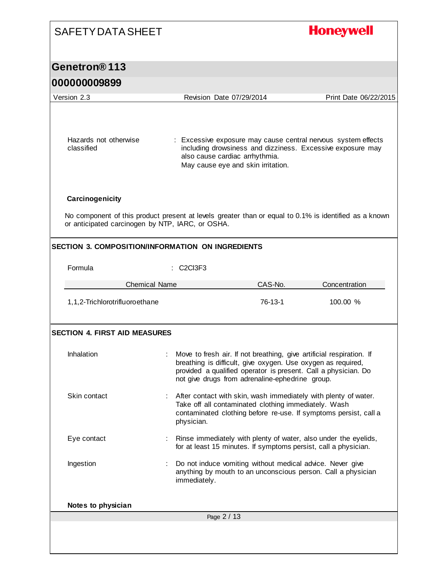| <b>SAFETY DATA SHEET</b>                                 |                                  |                                                                                                                                                                                                                                                           | <b>Honeywell</b>                                                                                      |
|----------------------------------------------------------|----------------------------------|-----------------------------------------------------------------------------------------------------------------------------------------------------------------------------------------------------------------------------------------------------------|-------------------------------------------------------------------------------------------------------|
| Genetron <sup>®</sup> 113                                |                                  |                                                                                                                                                                                                                                                           |                                                                                                       |
| 000000009899                                             |                                  |                                                                                                                                                                                                                                                           |                                                                                                       |
| Version 2.3                                              |                                  | Revision Date 07/29/2014                                                                                                                                                                                                                                  | Print Date 06/22/2015                                                                                 |
| Hazards not otherwise<br>classified                      |                                  | : Excessive exposure may cause central nervous system effects<br>including drowsiness and dizziness. Excessive exposure may<br>also cause cardiac arrhythmia.<br>May cause eye and skin irritation.                                                       |                                                                                                       |
| Carcinogenicity                                          |                                  |                                                                                                                                                                                                                                                           |                                                                                                       |
| or anticipated carcinogen by NTP, IARC, or OSHA.         |                                  |                                                                                                                                                                                                                                                           | No component of this product present at levels greater than or equal to 0.1% is identified as a known |
| <b>SECTION 3. COMPOSITION/INFORMATION ON INGREDIENTS</b> |                                  |                                                                                                                                                                                                                                                           |                                                                                                       |
| Formula                                                  | C <sub>2</sub> C <sub>13F3</sub> |                                                                                                                                                                                                                                                           |                                                                                                       |
|                                                          | <b>Chemical Name</b>             | CAS-No.                                                                                                                                                                                                                                                   | Concentration                                                                                         |
| 1,1,2-Trichlorotrifluoroethane                           |                                  | 76-13-1                                                                                                                                                                                                                                                   | 100.00 %                                                                                              |
| <b>SECTION 4. FIRST AID MEASURES</b>                     |                                  |                                                                                                                                                                                                                                                           |                                                                                                       |
| Inhalation                                               |                                  | Move to fresh air. If not breathing, give artificial respiration. If<br>breathing is difficult, give oxygen. Use oxygen as required,<br>provided a qualified operator is present. Call a physician. Do<br>not give drugs from adrenaline-ephedrine group. |                                                                                                       |
| Skin contact                                             | physician.                       | After contact with skin, wash immediately with plenty of water.<br>Take off all contaminated clothing immediately. Wash<br>contaminated clothing before re-use. If symptoms persist, call a                                                               |                                                                                                       |
| Eye contact                                              |                                  | Rinse immediately with plenty of water, also under the eyelids,<br>for at least 15 minutes. If symptoms persist, call a physician.                                                                                                                        |                                                                                                       |
| Ingestion                                                | immediately.                     | Do not induce vomiting without medical advice. Never give<br>anything by mouth to an unconscious person. Call a physician                                                                                                                                 |                                                                                                       |
|                                                          |                                  |                                                                                                                                                                                                                                                           |                                                                                                       |
| Notes to physician                                       |                                  |                                                                                                                                                                                                                                                           |                                                                                                       |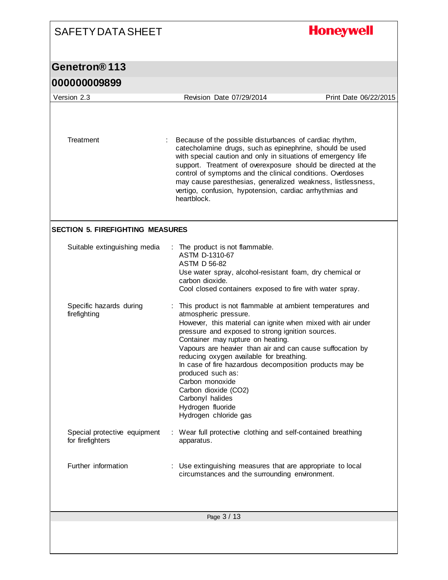| <b>SAFETY DATA SHEET</b>                                                | <b>Honeywell</b>                                                                                                                                                                                                                                                                                                                                                                                                                                                                                                                                   |
|-------------------------------------------------------------------------|----------------------------------------------------------------------------------------------------------------------------------------------------------------------------------------------------------------------------------------------------------------------------------------------------------------------------------------------------------------------------------------------------------------------------------------------------------------------------------------------------------------------------------------------------|
| Genetron <sup>®</sup> 113                                               |                                                                                                                                                                                                                                                                                                                                                                                                                                                                                                                                                    |
| 000000009899                                                            |                                                                                                                                                                                                                                                                                                                                                                                                                                                                                                                                                    |
| Version 2.3                                                             | Revision Date 07/29/2014<br>Print Date 06/22/2015                                                                                                                                                                                                                                                                                                                                                                                                                                                                                                  |
| Treatment                                                               | Because of the possible disturbances of cardiac rhythm,<br>catecholamine drugs, such as epinephrine, should be used<br>with special caution and only in situations of emergency life<br>support. Treatment of overexposure should be directed at the<br>control of symptoms and the clinical conditions. Overdoses<br>may cause paresthesias, generalized weakness, listlessness,<br>vertigo, confusion, hypotension, cardiac arrhythmias and<br>heartblock.                                                                                       |
| <b>SECTION 5. FIREFIGHTING MEASURES</b><br>Suitable extinguishing media | : The product is not flammable.<br>ASTM D-1310-67<br><b>ASTM D 56-82</b>                                                                                                                                                                                                                                                                                                                                                                                                                                                                           |
|                                                                         | Use water spray, alcohol-resistant foam, dry chemical or<br>carbon dioxide.<br>Cool closed containers exposed to fire with water spray.                                                                                                                                                                                                                                                                                                                                                                                                            |
| Specific hazards during<br>firefighting                                 | : This product is not flammable at ambient temperatures and<br>atmospheric pressure.<br>However, this material can ignite when mixed with air under<br>pressure and exposed to strong ignition sources.<br>Container may rupture on heating.<br>Vapours are heavier than air and can cause suffocation by<br>reducing oxygen available for breathing.<br>In case of fire hazardous decomposition products may be<br>produced such as:<br>Carbon monoxide<br>Carbon dioxide (CO2)<br>Carbonyl halides<br>Hydrogen fluoride<br>Hydrogen chloride gas |
| Special protective equipment<br>for firefighters                        | : Wear full protective clothing and self-contained breathing<br>apparatus.                                                                                                                                                                                                                                                                                                                                                                                                                                                                         |
| Further information                                                     | : Use extinguishing measures that are appropriate to local<br>circumstances and the surrounding environment.                                                                                                                                                                                                                                                                                                                                                                                                                                       |
|                                                                         | Page 3 / 13                                                                                                                                                                                                                                                                                                                                                                                                                                                                                                                                        |
|                                                                         |                                                                                                                                                                                                                                                                                                                                                                                                                                                                                                                                                    |

I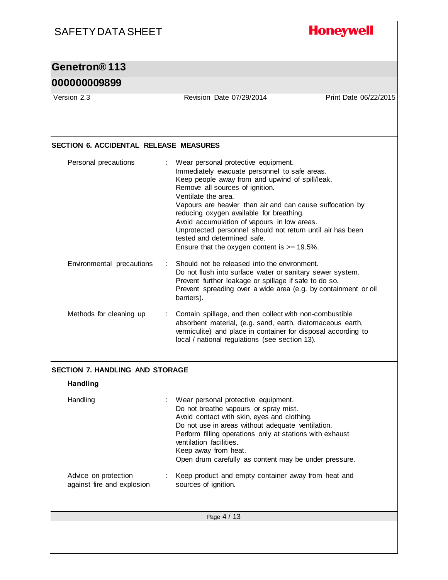| <b>SAFETY DATA SHEET</b>                           |                                                                                                                                                                                                                                                                                                                                                                                                                                                                                                                 | <b>Honeywell</b>      |
|----------------------------------------------------|-----------------------------------------------------------------------------------------------------------------------------------------------------------------------------------------------------------------------------------------------------------------------------------------------------------------------------------------------------------------------------------------------------------------------------------------------------------------------------------------------------------------|-----------------------|
| Genetron <sup>®</sup> 113                          |                                                                                                                                                                                                                                                                                                                                                                                                                                                                                                                 |                       |
| 000000009899                                       |                                                                                                                                                                                                                                                                                                                                                                                                                                                                                                                 |                       |
| Version 2.3                                        | Revision Date 07/29/2014                                                                                                                                                                                                                                                                                                                                                                                                                                                                                        | Print Date 06/22/2015 |
|                                                    |                                                                                                                                                                                                                                                                                                                                                                                                                                                                                                                 |                       |
| <b>SECTION 6. ACCIDENTAL RELEASE MEASURES</b>      |                                                                                                                                                                                                                                                                                                                                                                                                                                                                                                                 |                       |
| Personal precautions                               | Wear personal protective equipment.<br>t.<br>Immediately evacuate personnel to safe areas.<br>Keep people away from and upwind of spill/leak.<br>Remove all sources of ignition.<br>Ventilate the area.<br>Vapours are heavier than air and can cause suffocation by<br>reducing oxygen available for breathing.<br>Avoid accumulation of vapours in low areas.<br>Unprotected personnel should not return until air has been<br>tested and determined safe.<br>Ensure that the oxygen content is $>= 19.5\%$ . |                       |
| Environmental precautions                          | Should not be released into the environment.<br>÷<br>Do not flush into surface water or sanitary sewer system.<br>Prevent further leakage or spillage if safe to do so.<br>Prevent spreading over a wide area (e.g. by containment or oil<br>barriers).                                                                                                                                                                                                                                                         |                       |
| Methods for cleaning up                            | Contain spillage, and then collect with non-combustible<br>absorbent material, (e.g. sand, earth, diatomaceous earth,<br>vermiculite) and place in container for disposal according to<br>local / national regulations (see section 13).                                                                                                                                                                                                                                                                        |                       |
| <b>SECTION 7. HANDLING AND STORAGE</b>             |                                                                                                                                                                                                                                                                                                                                                                                                                                                                                                                 |                       |
| <b>Handling</b>                                    |                                                                                                                                                                                                                                                                                                                                                                                                                                                                                                                 |                       |
| Handling                                           | Wear personal protective equipment.<br>Do not breathe vapours or spray mist.<br>Avoid contact with skin, eyes and clothing.<br>Do not use in areas without adequate ventilation.<br>Perform filling operations only at stations with exhaust<br>ventilation facilities.<br>Keep away from heat.<br>Open drum carefully as content may be under pressure.                                                                                                                                                        |                       |
| Advice on protection<br>against fire and explosion | Keep product and empty container away from heat and<br>sources of ignition.                                                                                                                                                                                                                                                                                                                                                                                                                                     |                       |
|                                                    | Page 4 / 13                                                                                                                                                                                                                                                                                                                                                                                                                                                                                                     |                       |
|                                                    |                                                                                                                                                                                                                                                                                                                                                                                                                                                                                                                 |                       |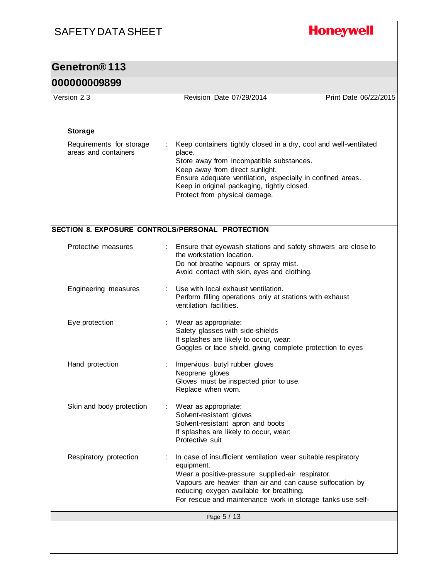## **Honeywell**

|  |  |  |  |  | <b>000000009899</b> |  |
|--|--|--|--|--|---------------------|--|
|  |  |  |  |  |                     |  |

| Version 2.3                                      | Revision Date 07/29/2014                                                                                                                                                                                                                                                                                   | Print Date 06/22/2015 |
|--------------------------------------------------|------------------------------------------------------------------------------------------------------------------------------------------------------------------------------------------------------------------------------------------------------------------------------------------------------------|-----------------------|
|                                                  |                                                                                                                                                                                                                                                                                                            |                       |
| <b>Storage</b>                                   |                                                                                                                                                                                                                                                                                                            |                       |
| Requirements for storage<br>areas and containers | : Keep containers tightly closed in a dry, cool and well-ventilated<br>place.<br>Store away from incompatible substances.<br>Keep away from direct sunlight.<br>Ensure adequate ventilation, especially in confined areas.<br>Keep in original packaging, tightly closed.<br>Protect from physical damage. |                       |
|                                                  | SECTION 8. EXPOSURE CONTROLS/PERSONAL PROTECTION                                                                                                                                                                                                                                                           |                       |
| Protective measures                              | : Ensure that eyewash stations and safety showers are close to<br>the workstation location.<br>Do not breathe vapours or spray mist.<br>Avoid contact with skin, eyes and clothing.                                                                                                                        |                       |
| Engineering measures                             | Use with local exhaust ventilation.<br>Perform filling operations only at stations with exhaust<br>ventilation facilities.                                                                                                                                                                                 |                       |
| Eye protection                                   | : Wear as appropriate:<br>Safety glasses with side-shields<br>If splashes are likely to occur, wear:<br>Goggles or face shield, giving complete protection to eyes                                                                                                                                         |                       |
| Hand protection                                  | Impervious butyl rubber gloves<br>Neoprene gloves<br>Gloves must be inspected prior to use.<br>Replace when worn.                                                                                                                                                                                          |                       |
| Skin and body protection                         | : Wear as appropriate:<br>Solvent-resistant gloves<br>Solvent-resistant apron and boots<br>If splashes are likely to occur, wear:<br>Protective suit                                                                                                                                                       |                       |
| Respiratory protection                           | In case of insufficient ventilation wear suitable respiratory<br>equipment.<br>Wear a positive-pressure supplied-air respirator.<br>Vapours are heavier than air and can cause suffocation by<br>reducing oxygen available for breathing.<br>For rescue and maintenance work in storage tanks use self-    |                       |
|                                                  | Page 5 / 13                                                                                                                                                                                                                                                                                                |                       |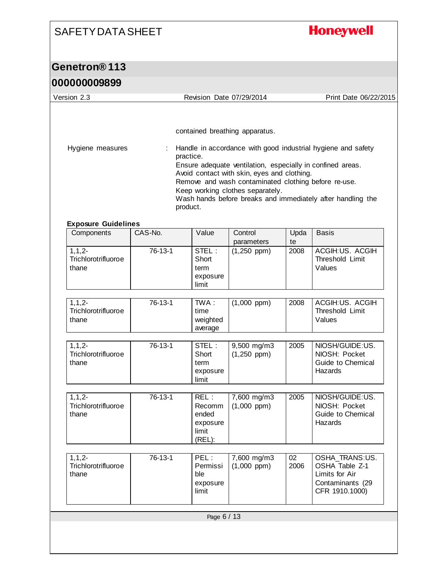## **Honeywell**

|                                            |           |                                                        | Revision Date 07/29/2014                                                                                                                                                                              |            | Print Date 06/22/2015                                                                                                       |
|--------------------------------------------|-----------|--------------------------------------------------------|-------------------------------------------------------------------------------------------------------------------------------------------------------------------------------------------------------|------------|-----------------------------------------------------------------------------------------------------------------------------|
|                                            |           |                                                        | contained breathing apparatus.                                                                                                                                                                        |            |                                                                                                                             |
| Hygiene measures                           | ÷         | practice.<br>product.                                  | Ensure adequate ventilation, especially in confined areas.<br>Avoid contact with skin, eyes and clothing.<br>Remove and wash contaminated clothing before re-use.<br>Keep working clothes separately. |            | Handle in accordance with good industrial hygiene and safety<br>Wash hands before breaks and immediately after handling the |
| <b>Exposure Guidelines</b><br>Components   | CAS-No.   | Value                                                  | Control<br>parameters                                                                                                                                                                                 | Upda<br>te | <b>Basis</b>                                                                                                                |
| $1, 1, 2-$<br>Trichlorotrifluoroe<br>thane | 76-13-1   | STEL:<br>Short<br>term<br>exposure<br>limit            | $(1,250$ ppm)                                                                                                                                                                                         | 2008       | ACGIH:US. ACGIH<br>Threshold Limit<br>Values                                                                                |
| $1, 1, 2-$<br>Trichlorotrifluoroe<br>thane | 76-13-1   | TWA:<br>time<br>weighted<br>average                    | $\overline{(1,000 ppm)}$                                                                                                                                                                              | 2008       | ACGIH:US. ACGIH<br>Threshold Limit<br>Values                                                                                |
| $1,1,2-$<br>Trichlorotrifluoroe<br>thane   | $76-13-1$ | STEL:<br>Short<br>term<br>exposure<br>limit            | 9,500 mg/m3<br>$(1,250$ ppm)                                                                                                                                                                          | 2005       | NIOSH/GUIDE:US.<br>NIOSH: Pocket<br>Guide to Chemical<br>Hazards                                                            |
| $1, 1, 2-$<br>Trichlorotrifluoroe<br>thane | 76-13-1   | REL:<br>Recomm<br>ended<br>exposure<br>limit<br>(REL): | 7,600 mg/m3<br>$(1,000$ ppm $)$                                                                                                                                                                       | 2005       | NIOSH/GUIDE:US.<br>NIOSH: Pocket<br>Guide to Chemical<br>Hazards                                                            |
| $1, 1, 2-$<br>Trichlorotrifluoroe<br>thane | 76-13-1   | PEL:<br>Permissi<br>ble<br>exposure<br>limit           | 7,600 mg/m3<br>$(1,000$ ppm $)$                                                                                                                                                                       | 02<br>2006 | OSHA TRANS:US.<br>OSHA Table Z-1<br>Limits for Air<br>Contaminants (29<br>CFR 1910.1000)                                    |
|                                            |           | Page 6 / 13                                            |                                                                                                                                                                                                       |            |                                                                                                                             |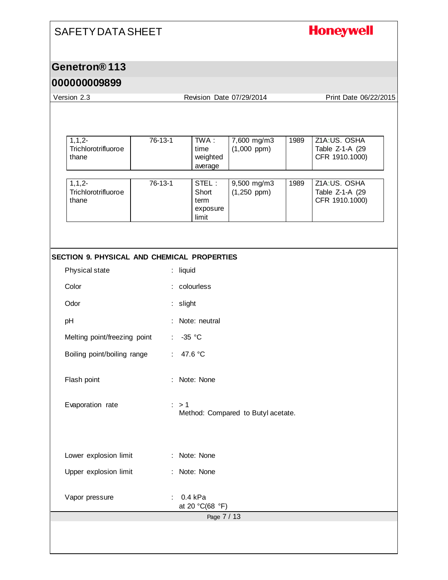## **Honeywell**

### **Genetron® 113**

#### **000000009899**

Version 2.3 Revision Date 07/29/2014 Print Date 06/22/2015

| $1, 1, 2-$<br>Trichlorotrifluoroe<br>thane | 76-13-1 | TWA :<br>time<br>weighted<br>average        | 7,600 mg/m3<br>$(1,000$ ppm)   | 1989 | Z1A:US. OSHA<br>Table Z-1-A (29<br>CFR 1910.1000) |
|--------------------------------------------|---------|---------------------------------------------|--------------------------------|------|---------------------------------------------------|
| $1, 1, 2-$<br>Trichlorotrifluoroe<br>thane | 76-13-1 | STEL:<br>Short<br>term<br>exposure<br>limit | $9,500$ mg/m3<br>$(1,250$ ppm) | 1989 | Z1A:US. OSHA<br>Table Z-1-A (29<br>CFR 1910.1000) |

#### **SECTION 9. PHYSICAL AND CHEMICAL PROPERTIES**

| Physical state               |    | : liquid                                    |
|------------------------------|----|---------------------------------------------|
| Color                        | ÷. | colourless                                  |
| Odor                         |    | : slight                                    |
| pH                           |    | Note: neutral                               |
| Melting point/freezing point | t. | $-35$ °C                                    |
| Boiling point/boiling range  | ÷. | 47.6 °C                                     |
| Flash point                  |    | : Note: None                                |
| Evaporation rate             |    | : > 1<br>Method: Compared to Butyl acetate. |
|                              |    |                                             |
| Lower explosion limit        |    | : Note: None                                |
| Upper explosion limit        |    | : Note: None                                |
| Vapor pressure               | ÷. | 0.4 kPa<br>at 20 °C(68 °F)                  |
|                              |    | Page 7 / 13                                 |
|                              |    |                                             |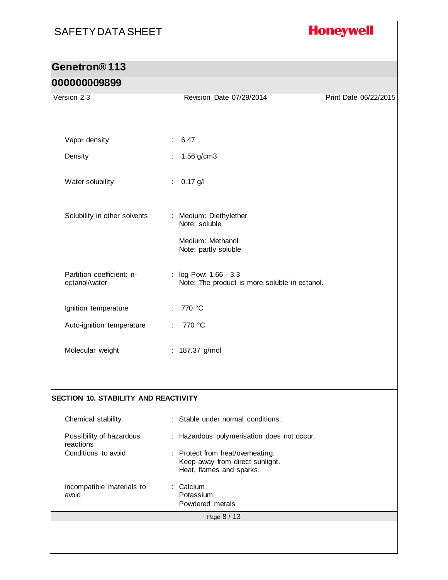## **Honeywell**

| Version 2.3                                 |   | Revision Date 07/29/2014                                    |  | Print Date 06/22/2015 |
|---------------------------------------------|---|-------------------------------------------------------------|--|-----------------------|
|                                             |   |                                                             |  |                       |
|                                             |   |                                                             |  |                       |
|                                             |   |                                                             |  |                       |
| Vapor density                               |   | 6.47                                                        |  |                       |
| Density                                     |   | 1.56 g/cm3                                                  |  |                       |
|                                             |   |                                                             |  |                       |
| Water solubility                            |   | $0.17$ g/l                                                  |  |                       |
|                                             |   |                                                             |  |                       |
|                                             |   |                                                             |  |                       |
| Solubility in other solvents                |   | : Medium: Diethylether<br>Note: soluble                     |  |                       |
|                                             |   |                                                             |  |                       |
|                                             |   | Medium: Methanol<br>Note: partly soluble                    |  |                       |
|                                             |   |                                                             |  |                       |
| Partition coefficient: n-                   |   | : log Pow: 1.66 - 3.3                                       |  |                       |
| octanol/water                               |   | Note: The product is more soluble in octanol.               |  |                       |
|                                             |   |                                                             |  |                       |
| Ignition temperature                        |   | : 770 $^{\circ}$ C                                          |  |                       |
| Auto-ignition temperature                   | ÷ | 770 °C                                                      |  |                       |
|                                             |   |                                                             |  |                       |
| Molecular weight                            |   | : 187.37 g/mol                                              |  |                       |
|                                             |   |                                                             |  |                       |
|                                             |   |                                                             |  |                       |
|                                             |   |                                                             |  |                       |
| <b>SECTION 10. STABILITY AND REACTIVITY</b> |   |                                                             |  |                       |
| Chemical stability                          |   | Stable under normal conditions.                             |  |                       |
|                                             |   |                                                             |  |                       |
| Possibility of hazardous<br>reactions       |   | Hazardous polymerisation does not occur.                    |  |                       |
| Conditions to avoid                         |   | : Protect from heat/overheating.                            |  |                       |
|                                             |   | Keep away from direct sunlight.<br>Heat, flames and sparks. |  |                       |
| Incompatible materials to                   |   | Calcium                                                     |  |                       |
| avoid                                       |   | Potassium                                                   |  |                       |
|                                             |   | Powdered metals                                             |  |                       |
|                                             |   | Page 8 / 13                                                 |  |                       |
|                                             |   |                                                             |  |                       |
|                                             |   |                                                             |  |                       |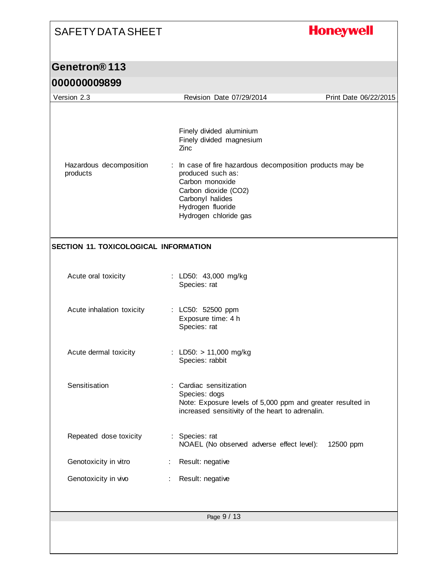## **Honeywell**

| 000000009899 |  |
|--------------|--|
|--------------|--|

| Version 2.3                           | Revision Date 07/29/2014                                                                                                                                                                                                                                  | Print Date 06/22/2015 |
|---------------------------------------|-----------------------------------------------------------------------------------------------------------------------------------------------------------------------------------------------------------------------------------------------------------|-----------------------|
| Hazardous decomposition<br>products   | Finely divided aluminium<br>Finely divided magnesium<br>Zinc<br>In case of fire hazardous decomposition products may be<br>produced such as:<br>Carbon monoxide<br>Carbon dioxide (CO2)<br>Carbonyl halides<br>Hydrogen fluoride<br>Hydrogen chloride gas |                       |
| SECTION 11. TOXICOLOGICAL INFORMATION |                                                                                                                                                                                                                                                           |                       |
|                                       |                                                                                                                                                                                                                                                           |                       |
| Acute oral toxicity                   | : LD50: 43,000 mg/kg<br>Species: rat                                                                                                                                                                                                                      |                       |
| Acute inhalation toxicity             | : LC50: 52500 ppm<br>Exposure time: 4 h<br>Species: rat                                                                                                                                                                                                   |                       |
| Acute dermal toxicity                 | : LD50: > 11,000 mg/kg<br>Species: rabbit                                                                                                                                                                                                                 |                       |
| Sensitisation                         | : Cardiac sensitization<br>Species: dogs<br>Note: Exposure levels of 5,000 ppm and greater resulted in<br>increased sensitivity of the heart to adrenalin.                                                                                                |                       |
| Repeated dose toxicity                | : Species: rat<br>NOAEL (No observed adverse effect level):                                                                                                                                                                                               | 12500 ppm             |
| Genotoxicity in vitro                 | Result: negative                                                                                                                                                                                                                                          |                       |
| Genotoxicity in vivo                  | Result: negative                                                                                                                                                                                                                                          |                       |
|                                       | Page 9 / 13                                                                                                                                                                                                                                               |                       |
|                                       |                                                                                                                                                                                                                                                           |                       |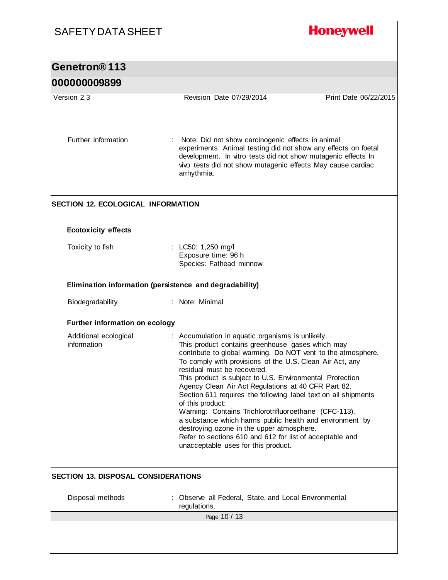| <b>SAFETY DATA SHEET</b>                   |                                                                                                                                                                                                                                                                                                                                                                                                                                                                                                                                                                                                                                                                                                                                               | <b>Honeywell</b>      |  |
|--------------------------------------------|-----------------------------------------------------------------------------------------------------------------------------------------------------------------------------------------------------------------------------------------------------------------------------------------------------------------------------------------------------------------------------------------------------------------------------------------------------------------------------------------------------------------------------------------------------------------------------------------------------------------------------------------------------------------------------------------------------------------------------------------------|-----------------------|--|
| Genetron <sup>®</sup> 113                  |                                                                                                                                                                                                                                                                                                                                                                                                                                                                                                                                                                                                                                                                                                                                               |                       |  |
| 000000009899                               |                                                                                                                                                                                                                                                                                                                                                                                                                                                                                                                                                                                                                                                                                                                                               |                       |  |
| Version 2.3                                | Revision Date 07/29/2014                                                                                                                                                                                                                                                                                                                                                                                                                                                                                                                                                                                                                                                                                                                      | Print Date 06/22/2015 |  |
| Further information                        | Note: Did not show carcinogenic effects in animal<br>experiments. Animal testing did not show any effects on foetal<br>development. In vitro tests did not show mutagenic effects In<br>vivo tests did not show mutagenic effects May cause cardiac<br>arrhythmia.                                                                                                                                                                                                                                                                                                                                                                                                                                                                            |                       |  |
| <b>SECTION 12. ECOLOGICAL INFORMATION</b>  |                                                                                                                                                                                                                                                                                                                                                                                                                                                                                                                                                                                                                                                                                                                                               |                       |  |
| <b>Ecotoxicity effects</b>                 |                                                                                                                                                                                                                                                                                                                                                                                                                                                                                                                                                                                                                                                                                                                                               |                       |  |
| Toxicity to fish                           | : LC50: 1,250 mg/l<br>Exposure time: 96 h<br>Species: Fathead minnow                                                                                                                                                                                                                                                                                                                                                                                                                                                                                                                                                                                                                                                                          |                       |  |
|                                            | Elimination information (persistence and degradability)                                                                                                                                                                                                                                                                                                                                                                                                                                                                                                                                                                                                                                                                                       |                       |  |
| Biodegradability                           | : Note: Minimal                                                                                                                                                                                                                                                                                                                                                                                                                                                                                                                                                                                                                                                                                                                               |                       |  |
| <b>Further information on ecology</b>      |                                                                                                                                                                                                                                                                                                                                                                                                                                                                                                                                                                                                                                                                                                                                               |                       |  |
| Additional ecological<br>information       | : Accumulation in aquatic organisms is unlikely.<br>This product contains greenhouse gases which may<br>contribute to global warming. Do NOT vent to the atmosphere.<br>To comply with provisions of the U.S. Clean Air Act, any<br>residual must be recovered.<br>This product is subject to U.S. Environmental Protection<br>Agency Clean Air Act Regulations at 40 CFR Part 82.<br>Section 611 requires the following label text on all shipments<br>of this product:<br>Warning: Contains Trichlorotrifluoroethane (CFC-113),<br>a substance which harms public health and environment by<br>destroying ozone in the upper atmosphere.<br>Refer to sections 610 and 612 for list of acceptable and<br>unacceptable uses for this product. |                       |  |
| <b>SECTION 13. DISPOSAL CONSIDERATIONS</b> |                                                                                                                                                                                                                                                                                                                                                                                                                                                                                                                                                                                                                                                                                                                                               |                       |  |
| Disposal methods                           | Observe all Federal, State, and Local Environmental<br>regulations.                                                                                                                                                                                                                                                                                                                                                                                                                                                                                                                                                                                                                                                                           |                       |  |
|                                            | Page 10 / 13                                                                                                                                                                                                                                                                                                                                                                                                                                                                                                                                                                                                                                                                                                                                  |                       |  |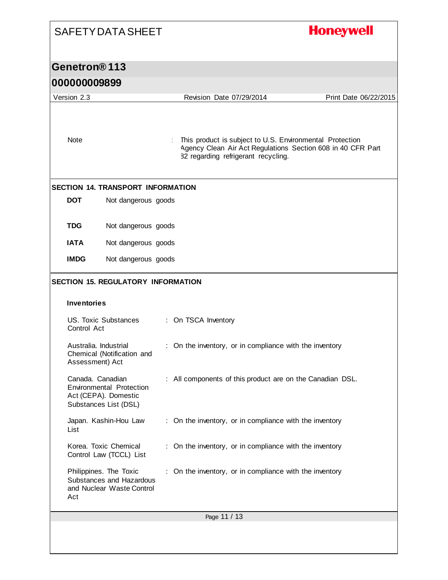| <b>SAFETY DATA SHEET</b>                                                                                      |                     |                                                           | <b>Honeywell</b>                                                                                                        |  |  |
|---------------------------------------------------------------------------------------------------------------|---------------------|-----------------------------------------------------------|-------------------------------------------------------------------------------------------------------------------------|--|--|
| Genetron®113                                                                                                  |                     |                                                           |                                                                                                                         |  |  |
| 000000009899                                                                                                  |                     |                                                           |                                                                                                                         |  |  |
| Version 2.3                                                                                                   |                     | Revision Date 07/29/2014                                  | Print Date 06/22/2015                                                                                                   |  |  |
| Note                                                                                                          |                     | 82 regarding refrigerant recycling.                       | This product is subject to U.S. Environmental Protection<br>Agency Clean Air Act Regulations Section 608 in 40 CFR Part |  |  |
| <b>SECTION 14. TRANSPORT INFORMATION</b>                                                                      |                     |                                                           |                                                                                                                         |  |  |
| <b>DOT</b><br>Not dangerous goods                                                                             |                     |                                                           |                                                                                                                         |  |  |
| <b>TDG</b><br>Not dangerous goods                                                                             |                     |                                                           |                                                                                                                         |  |  |
| <b>IATA</b><br>Not dangerous goods                                                                            |                     |                                                           |                                                                                                                         |  |  |
| <b>IMDG</b><br>Not dangerous goods                                                                            |                     |                                                           |                                                                                                                         |  |  |
| <b>SECTION 15. REGULATORY INFORMATION</b><br><b>Inventories</b><br><b>US. Toxic Substances</b><br>Control Act | : On TSCA Inventory |                                                           |                                                                                                                         |  |  |
| Australia, Industrial<br>Chemical (Notification and<br>Assessment) Act                                        |                     | : On the inventory, or in compliance with the inventory   |                                                                                                                         |  |  |
| Canada. Canadian<br><b>Environmental Protection</b><br>Act (CEPA). Domestic<br>Substances List (DSL)          |                     | : All components of this product are on the Canadian DSL. |                                                                                                                         |  |  |
| Japan. Kashin-Hou Law<br>List                                                                                 |                     | : On the inventory, or in compliance with the inventory   |                                                                                                                         |  |  |
| Korea. Toxic Chemical<br>Control Law (TCCL) List                                                              |                     | : On the inventory, or in compliance with the inventory   |                                                                                                                         |  |  |
| Philippines. The Toxic<br>Substances and Hazardous<br>and Nuclear Waste Control<br>Act                        |                     | : On the inventory, or in compliance with the inventory   |                                                                                                                         |  |  |
| Page 11 / 13                                                                                                  |                     |                                                           |                                                                                                                         |  |  |
|                                                                                                               |                     |                                                           |                                                                                                                         |  |  |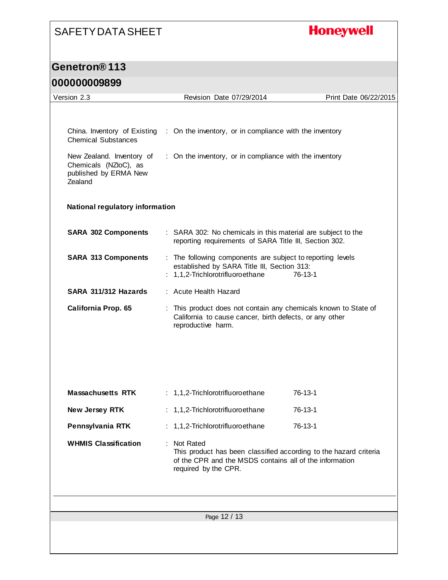## **Honeywell**

#### **Genetron® 113**

#### **000000009899**

| Version 2.3                                               | Revision Date 07/29/2014                                                                                                                                            | Print Date 06/22/2015 |  |
|-----------------------------------------------------------|---------------------------------------------------------------------------------------------------------------------------------------------------------------------|-----------------------|--|
|                                                           |                                                                                                                                                                     |                       |  |
| <b>Chemical Substances</b><br>New Zealand. Inventory of   | China. Inventory of Existing : On the inventory, or in compliance with the inventory<br>: On the inventory, or in compliance with the inventory                     |                       |  |
| Chemicals (NZloC), as<br>published by ERMA New<br>Zealand |                                                                                                                                                                     |                       |  |
| <b>National regulatory information</b>                    |                                                                                                                                                                     |                       |  |
| <b>SARA 302 Components</b>                                | : SARA 302: No chemicals in this material are subject to the<br>reporting requirements of SARA Title III, Section 302.                                              |                       |  |
| <b>SARA 313 Components</b>                                | : The following components are subject to reporting levels<br>established by SARA Title III, Section 313:<br>: 1,1,2-Trichlorotrifluoroethane                       | 76-13-1               |  |
| SARA 311/312 Hazards                                      | : Acute Health Hazard                                                                                                                                               |                       |  |
| California Prop. 65                                       | : This product does not contain any chemicals known to State of<br>California to cause cancer, birth defects, or any other<br>reproductive harm.                    |                       |  |
|                                                           |                                                                                                                                                                     |                       |  |
| Massachusetts RTK                                         | : 1,1,2-Trichlorotrifluoroethane                                                                                                                                    | 76-13-1               |  |
| New Jersey RTK                                            | : 1,1,2-Trichlorotrifluoroethane                                                                                                                                    | 76-13-1               |  |
| Pennsylvania RTK                                          | : 1,1,2-Trichlorotrifluoroethane                                                                                                                                    | 76-13-1               |  |
| <b>WHMIS Classification</b>                               | : Not Rated<br>This product has been classified according to the hazard criteria<br>of the CPR and the MSDS contains all of the information<br>required by the CPR. |                       |  |
|                                                           |                                                                                                                                                                     |                       |  |
|                                                           | Page 12 / 13                                                                                                                                                        |                       |  |
|                                                           |                                                                                                                                                                     |                       |  |
|                                                           |                                                                                                                                                                     |                       |  |